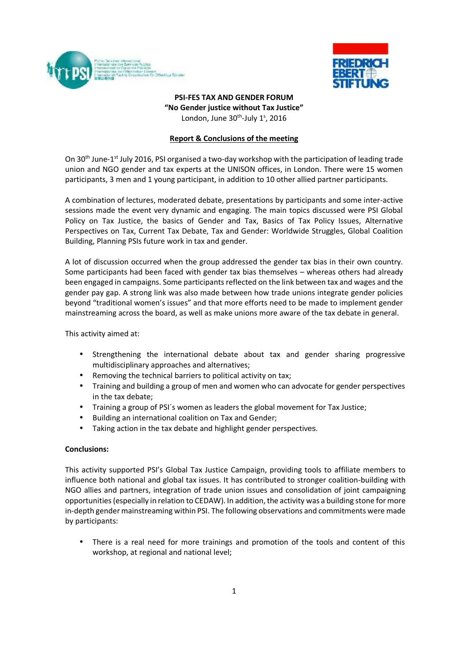



## **PSI-FES TAX AND GENDER FORUM "No Gender justice without Tax Justice"** London, June 30<sup>th</sup>-July 1<sup>s</sup>, 2016

## **Report & Conclusions of the meeting**

On 30<sup>th</sup> June-1<sup>st</sup> July 2016, PSI organised a two-day workshop with the participation of leading trade union and NGO gender and tax experts at the UNISON offices, in London. There were 15 women participants, 3 men and 1 young participant, in addition to 10 other allied partner participants.

A combination of lectures, moderated debate, presentations by participants and some inter-active sessions made the event very dynamic and engaging. The main topics discussed were PSI Global Policy on Tax Justice, the basics of Gender and Tax, Basics of Tax Policy Issues, Alternative Perspectives on Tax, Current Tax Debate, Tax and Gender: Worldwide Struggles, Global Coalition Building, Planning PSIs future work in tax and gender.

A lot of discussion occurred when the group addressed the gender tax bias in their own country. Some participants had been faced with gender tax bias themselves – whereas others had already been engaged in campaigns. Some participants reflected on the link between tax and wages and the gender pay gap. A strong link was also made between how trade unions integrate gender policies beyond "traditional women's issues" and that more efforts need to be made to implement gender mainstreaming across the board, as well as make unions more aware of the tax debate in general.

This activity aimed at:

- Strengthening the international debate about tax and gender sharing progressive multidisciplinary approaches and alternatives;
- Removing the technical barriers to political activity on tax;
- Training and building a group of men and women who can advocate for gender perspectives in the tax debate;
- Training a group of PSI´s women as leaders the global movement for Tax Justice;
- Building an international coalition on Tax and Gender;
- Taking action in the tax debate and highlight gender perspectives.

## **Conclusions:**

This activity supported PSI's Global Tax Justice Campaign, providing tools to affiliate members to influence both national and global tax issues. It has contributed to stronger coalition-building with NGO allies and partners, integration of trade union issues and consolidation of joint campaigning opportunities (especially in relation to CEDAW). In addition, the activity was a building stone for more in-depth gender mainstreaming within PSI. The following observations and commitments were made by participants:

• There is a real need for more trainings and promotion of the tools and content of this workshop, at regional and national level;